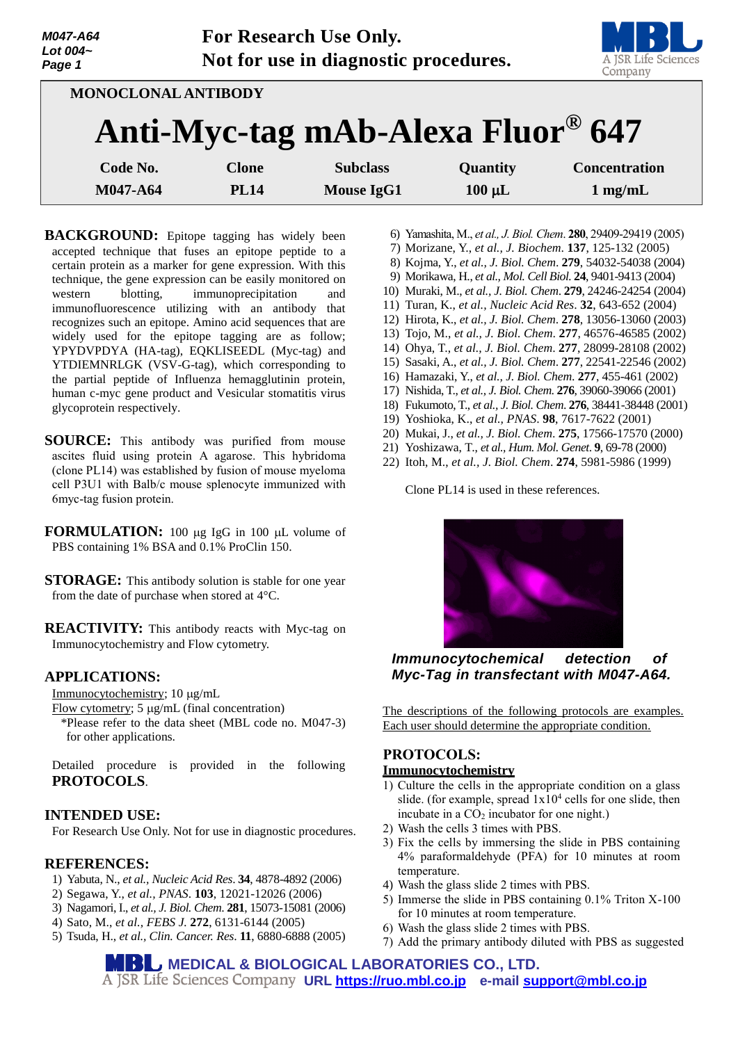| M047-A64<br>Lot $004-$<br>Page 1 |              | For Research Use Only.<br>Not for use in diagnostic procedures. |             | A JSR Life Sciences<br>Company |
|----------------------------------|--------------|-----------------------------------------------------------------|-------------|--------------------------------|
| MONOCLONAL ANTIBODY              |              |                                                                 |             |                                |
|                                  |              | Anti-Myc-tag mAb-Alexa Fluor <sup>®</sup> 647                   |             |                                |
| Code No.                         | <b>Clone</b> | <b>Subclass</b>                                                 | Quantity    | <b>Concentration</b>           |
| M047-A64                         | <b>PL14</b>  | <b>Mouse IgG1</b>                                               | $100 \mu L$ | $1$ mg/mL                      |

**BACKGROUND:** Epitope tagging has widely been accepted technique that fuses an epitope peptide to a certain protein as a marker for gene expression. With this technique, the gene expression can be easily monitored on western blotting, immunoprecipitation and immunofluorescence utilizing with an antibody that recognizes such an epitope. Amino acid sequences that are widely used for the epitope tagging are as follow; YPYDVPDYA (HA-tag), EQKLISEEDL (Myc-tag) and YTDIEMNRLGK (VSV-G-tag), which corresponding to the partial peptide of Influenza hemagglutinin protein, human c-myc gene product and Vesicular stomatitis virus glycoprotein respectively.

- **SOURCE:** This antibody was purified from mouse ascites fluid using protein A agarose. This hybridoma (clone PL14) was established by fusion of mouse myeloma cell P3U1 with Balb/c mouse splenocyte immunized with 6myc-tag fusion protein.
- **FORMULATION:** 100 µg IgG in 100 µL volume of PBS containing 1% BSA and 0.1% ProClin 150.
- **STORAGE:** This antibody solution is stable for one year from the date of purchase when stored at 4°C.

**REACTIVITY:** This antibody reacts with Myc-tag on Immunocytochemistry and Flow cytometry.

## **APPLICATIONS:**

Immunocytochemistry; 10 µg/mL

- Flow cytometry;  $5 \mu g/mL$  (final concentration)
- \*Please refer to the data sheet (MBL code no. M047-3) for other applications.

Detailed procedure is provided in the following **PROTOCOLS**.

## **INTENDED USE:**

For Research Use Only. Not for use in diagnostic procedures.

## **REFERENCES:**

- 1) Yabuta, N., *et al., Nucleic Acid Res*. **34**, 4878-4892 (2006)
- 2) Segawa, Y., *et al., PNAS*. **103**, 12021-12026 (2006)
- 3) Nagamori, I., *et al., J. Biol. Chem*. **281**, 15073-15081 (2006)
- 4) Sato, M., *et al., FEBS J.* **272**, 6131-6144 (2005)
- 5) Tsuda, H., *et al., Clin. Cancer. Res*. **11**, 6880-6888 (2005)
- 6) Yamashita, M., *et al., J. Biol. Chem*. **280**, 29409-29419 (2005)
- 7) Morizane, Y., *et al., J. Biochem*. **137**, 125-132 (2005)
- 8) Kojma, Y., *et al., J. Biol. Chem*. **279**, 54032-54038 (2004)
- 9) Morikawa, H., *et al., Mol. Cell Biol.* **24**, 9401-9413 (2004)
- 10) Muraki, M., *et al., J. Biol. Chem*. **279**, 24246-24254 (2004)
- 11) Turan, K., *et al., Nucleic Acid Res*. **32**, 643-652 (2004)
- 12) Hirota, K., *et al., J. Biol. Chem*. **278**, 13056-13060 (2003)
- 13) Tojo, M., *et al., J. Biol. Chem*. **277**, 46576-46585 (2002)
- 14) Ohya, T., *et al., J. Biol. Chem*. **277**, 28099-28108 (2002)
- 15) Sasaki, A., *et al., J. Biol. Chem*. **277**, 22541-22546 (2002)
- 16) Hamazaki, Y., *et al., J. Biol. Chem*. **277**, 455-461 (2002)
- 17) Nishida, T., *et al., J. Biol. Chem*. **276**, 39060-39066 (2001)
- 18) Fukumoto, T., *et al., J. Biol. Chem*. **276**, 38441-38448 (2001)
- 19) Yoshioka, K., *et al., PNAS*. **98**, 7617-7622 (2001)
- 20) Mukai, J., *et al., J. Biol. Chem*. **275**, 17566-17570 (2000)
- 21) Yoshizawa, T., *et al., Hum. Mol. Genet*. **9**, 69-78 (2000)
- 22) Itoh, M., *et al., J. Biol. Chem*. **274**, 5981-5986 (1999)

Clone PL14 is used in these references.



*Immunocytochemical detection of Myc-Tag in transfectant with M047-A64.*

The descriptions of the following protocols are examples. Each user should determine the appropriate condition.

# **PROTOCOLS:**

## **Immunocytochemistry**

- 1) Culture the cells in the appropriate condition on a glass slide. (for example, spread  $1x10<sup>4</sup>$  cells for one slide, then incubate in a  $CO<sub>2</sub>$  incubator for one night.)
- 2) Wash the cells 3 times with PBS.
- 3) Fix the cells by immersing the slide in PBS containing 4% paraformaldehyde (PFA) for 10 minutes at room temperature.
- 4) Wash the glass slide 2 times with PBS.
- 5) Immerse the slide in PBS containing 0.1% Triton X-100 for 10 minutes at room temperature.
- 6) Wash the glass slide 2 times with PBS.
- 7) Add the primary antibody diluted with PBS as suggested

**MEDICAL & BIOLOGICAL LABORATORIES CO., LTD. URL [https://ruo.mbl.co.jp](https://ruo.mbl.co.jp/) e-mail [support@mbl.co.jp](mailto:support@mbl.co.jp)**